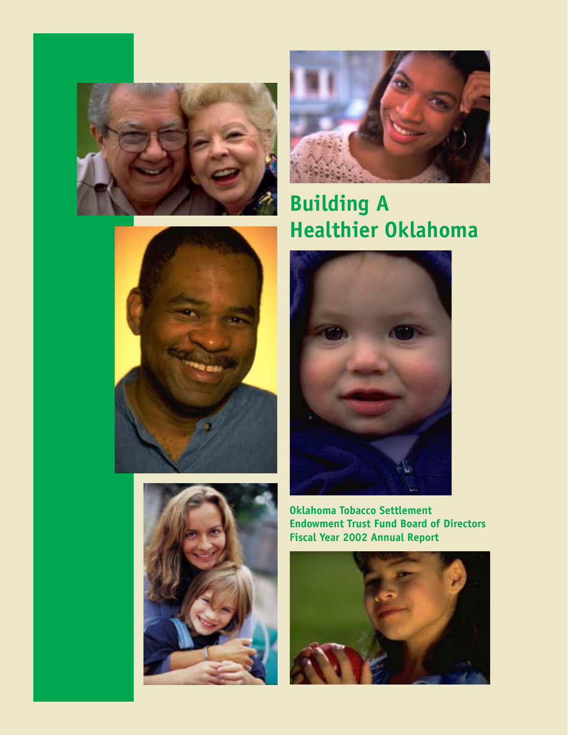



# **Building A Healthier Oklahoma**







**Oklahoma Tobacco Settlement Endowment Trust Fund Board of Directors Fiscal Year 2002 Annual Report**

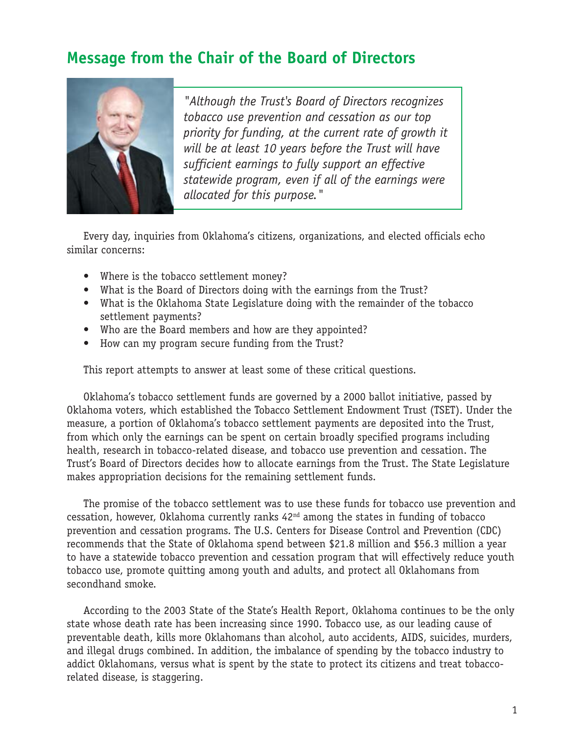# **Message from the Chair of the Board of Directors**



*"Although the Trust's Board of Directors recognizes tobacco use prevention and cessation as our top priority for funding, at the current rate of growth it will be at least 10 years before the Trust will have sufficient earnings to fully support an effective statewide program, even if all of the earnings were allocated for this purpose."*

Every day, inquiries from Oklahoma's citizens, organizations, and elected officials echo similar concerns:

- Where is the tobacco settlement money?
- What is the Board of Directors doing with the earnings from the Trust?
- What is the Oklahoma State Legislature doing with the remainder of the tobacco settlement payments?
- Who are the Board members and how are they appointed?
- How can my program secure funding from the Trust?

This report attempts to answer at least some of these critical questions.

Oklahoma's tobacco settlement funds are governed by a 2000 ballot initiative, passed by Oklahoma voters, which established the Tobacco Settlement Endowment Trust (TSET). Under the measure, a portion of Oklahoma's tobacco settlement payments are deposited into the Trust, from which only the earnings can be spent on certain broadly specified programs including health, research in tobacco-related disease, and tobacco use prevention and cessation. The Trust's Board of Directors decides how to allocate earnings from the Trust. The State Legislature makes appropriation decisions for the remaining settlement funds.

The promise of the tobacco settlement was to use these funds for tobacco use prevention and cessation, however, Oklahoma currently ranks 42nd among the states in funding of tobacco prevention and cessation programs. The U.S. Centers for Disease Control and Prevention (CDC) recommends that the State of Oklahoma spend between \$21.8 million and \$56.3 million a year to have a statewide tobacco prevention and cessation program that will effectively reduce youth tobacco use, promote quitting among youth and adults, and protect all Oklahomans from secondhand smoke.

According to the 2003 State of the State's Health Report, Oklahoma continues to be the only state whose death rate has been increasing since 1990. Tobacco use, as our leading cause of preventable death, kills more Oklahomans than alcohol, auto accidents, AIDS, suicides, murders, and illegal drugs combined. In addition, the imbalance of spending by the tobacco industry to addict Oklahomans, versus what is spent by the state to protect its citizens and treat tobaccorelated disease, is staggering.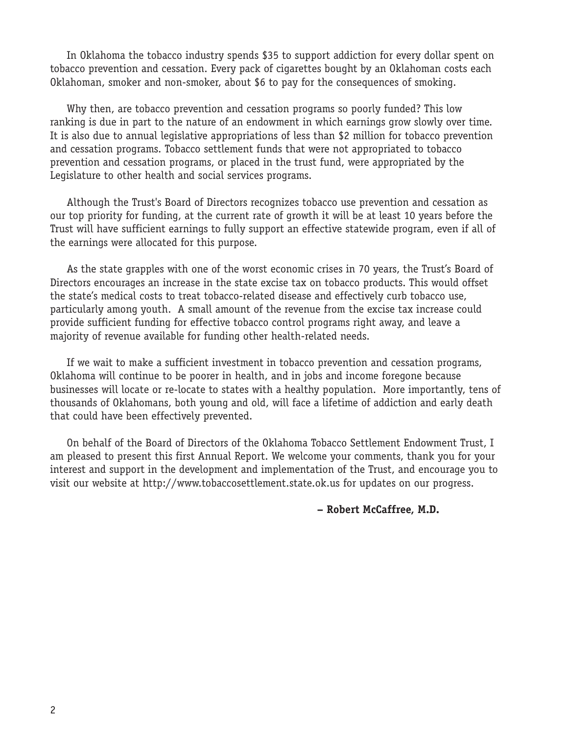In Oklahoma the tobacco industry spends \$35 to support addiction for every dollar spent on tobacco prevention and cessation. Every pack of cigarettes bought by an Oklahoman costs each Oklahoman, smoker and non-smoker, about \$6 to pay for the consequences of smoking.

Why then, are tobacco prevention and cessation programs so poorly funded? This low ranking is due in part to the nature of an endowment in which earnings grow slowly over time. It is also due to annual legislative appropriations of less than \$2 million for tobacco prevention and cessation programs. Tobacco settlement funds that were not appropriated to tobacco prevention and cessation programs, or placed in the trust fund, were appropriated by the Legislature to other health and social services programs.

Although the Trust's Board of Directors recognizes tobacco use prevention and cessation as our top priority for funding, at the current rate of growth it will be at least 10 years before the Trust will have sufficient earnings to fully support an effective statewide program, even if all of the earnings were allocated for this purpose.

As the state grapples with one of the worst economic crises in 70 years, the Trust's Board of Directors encourages an increase in the state excise tax on tobacco products. This would offset the state's medical costs to treat tobacco-related disease and effectively curb tobacco use, particularly among youth. A small amount of the revenue from the excise tax increase could provide sufficient funding for effective tobacco control programs right away, and leave a majority of revenue available for funding other health-related needs.

If we wait to make a sufficient investment in tobacco prevention and cessation programs, Oklahoma will continue to be poorer in health, and in jobs and income foregone because businesses will locate or re-locate to states with a healthy population. More importantly, tens of thousands of Oklahomans, both young and old, will face a lifetime of addiction and early death that could have been effectively prevented.

On behalf of the Board of Directors of the Oklahoma Tobacco Settlement Endowment Trust, I am pleased to present this first Annual Report. We welcome your comments, thank you for your interest and support in the development and implementation of the Trust, and encourage you to visit our website at http://www.tobaccosettlement.state.ok.us for updates on our progress.

**– Robert McCaffree, M.D.**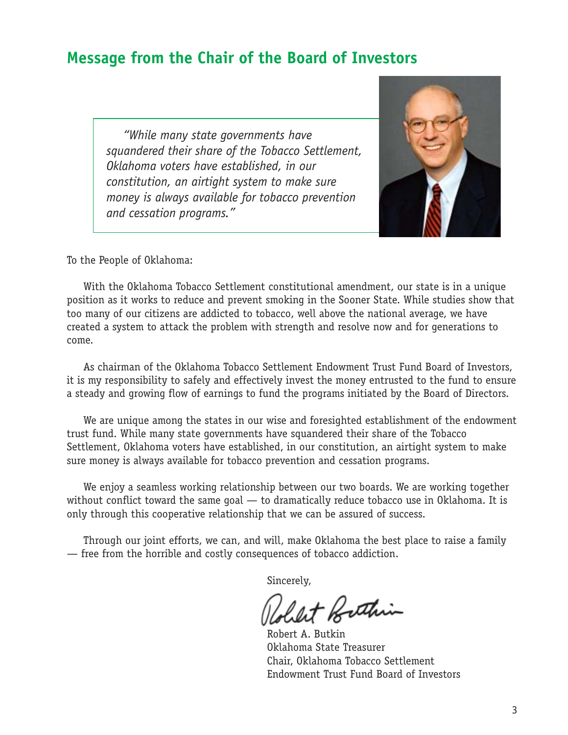# **Message from the Chair of the Board of Investors**

*"While many state governments have squandered their share of the Tobacco Settlement, Oklahoma voters have established, in our constitution, an airtight system to make sure money is always available for tobacco prevention and cessation programs."*



To the People of Oklahoma:

With the Oklahoma Tobacco Settlement constitutional amendment, our state is in a unique position as it works to reduce and prevent smoking in the Sooner State. While studies show that too many of our citizens are addicted to tobacco, well above the national average, we have created a system to attack the problem with strength and resolve now and for generations to come.

As chairman of the Oklahoma Tobacco Settlement Endowment Trust Fund Board of Investors, it is my responsibility to safely and effectively invest the money entrusted to the fund to ensure a steady and growing flow of earnings to fund the programs initiated by the Board of Directors.

We are unique among the states in our wise and foresighted establishment of the endowment trust fund. While many state governments have squandered their share of the Tobacco Settlement, Oklahoma voters have established, in our constitution, an airtight system to make sure money is always available for tobacco prevention and cessation programs.

We enjoy a seamless working relationship between our two boards. We are working together without conflict toward the same goal — to dramatically reduce tobacco use in Oklahoma. It is only through this cooperative relationship that we can be assured of success.

Through our joint efforts, we can, and will, make Oklahoma the best place to raise a family — free from the horrible and costly consequences of tobacco addiction.

Sincerely,

let Bethin

Robert A. Butkin Oklahoma State Treasurer Chair, Oklahoma Tobacco Settlement Endowment Trust Fund Board of Investors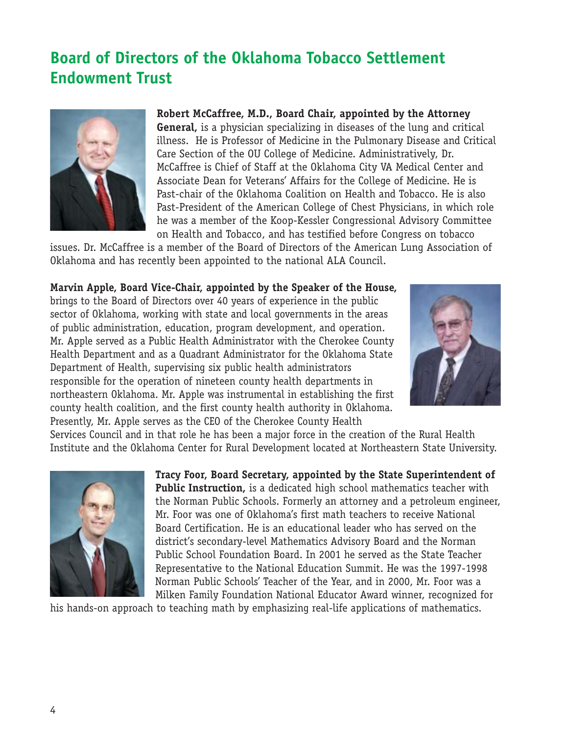# **Board of Directors of the Oklahoma Tobacco Settlement Endowment Trust**



**Robert McCaffree, M.D., Board Chair, appointed by the Attorney General,** is a physician specializing in diseases of the lung and critical illness. He is Professor of Medicine in the Pulmonary Disease and Critical Care Section of the OU College of Medicine. Administratively, Dr. McCaffree is Chief of Staff at the Oklahoma City VA Medical Center and Associate Dean for Veterans' Affairs for the College of Medicine. He is Past-chair of the Oklahoma Coalition on Health and Tobacco. He is also Past-President of the American College of Chest Physicians, in which role he was a member of the Koop-Kessler Congressional Advisory Committee on Health and Tobacco, and has testified before Congress on tobacco

issues. Dr. McCaffree is a member of the Board of Directors of the American Lung Association of Oklahoma and has recently been appointed to the national ALA Council.

### **Marvin Apple, Board Vice-Chair, appointed by the Speaker of the House,**

brings to the Board of Directors over 40 years of experience in the public sector of Oklahoma, working with state and local governments in the areas of public administration, education, program development, and operation. Mr. Apple served as a Public Health Administrator with the Cherokee County Health Department and as a Quadrant Administrator for the Oklahoma State Department of Health, supervising six public health administrators responsible for the operation of nineteen county health departments in northeastern Oklahoma. Mr. Apple was instrumental in establishing the first county health coalition, and the first county health authority in Oklahoma. Presently, Mr. Apple serves as the CEO of the Cherokee County Health



Services Council and in that role he has been a major force in the creation of the Rural Health Institute and the Oklahoma Center for Rural Development located at Northeastern State University.



**Tracy Foor, Board Secretary, appointed by the State Superintendent of Public Instruction,** is a dedicated high school mathematics teacher with the Norman Public Schools. Formerly an attorney and a petroleum engineer, Mr. Foor was one of Oklahoma's first math teachers to receive National Board Certification. He is an educational leader who has served on the district's secondary-level Mathematics Advisory Board and the Norman Public School Foundation Board. In 2001 he served as the State Teacher Representative to the National Education Summit. He was the 1997-1998 Norman Public Schools' Teacher of the Year, and in 2000, Mr. Foor was a Milken Family Foundation National Educator Award winner, recognized for

his hands-on approach to teaching math by emphasizing real-life applications of mathematics.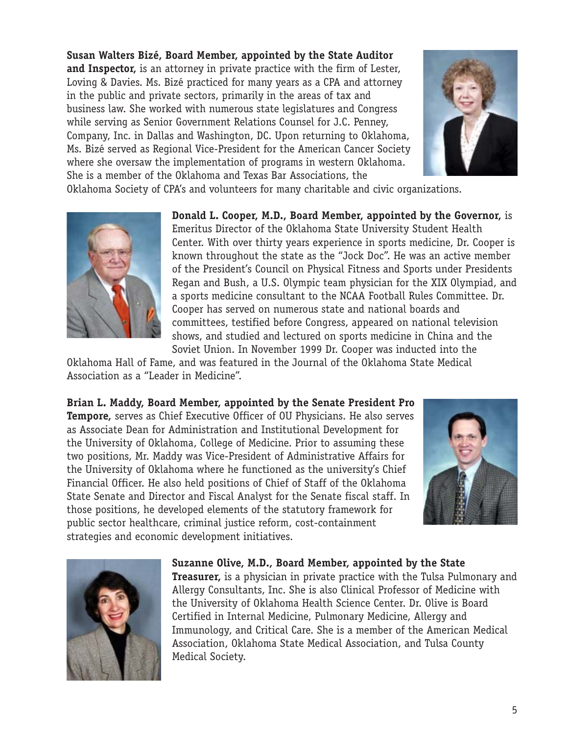**Susan Walters Bizé, Board Member, appointed by the State Auditor and Inspector,** is an attorney in private practice with the firm of Lester, Loving & Davies. Ms. Bizé practiced for many years as a CPA and attorney in the public and private sectors, primarily in the areas of tax and business law. She worked with numerous state legislatures and Congress while serving as Senior Government Relations Counsel for J.C. Penney, Company, Inc. in Dallas and Washington, DC. Upon returning to Oklahoma, Ms. Bizé served as Regional Vice-President for the American Cancer Society where she oversaw the implementation of programs in western Oklahoma. She is a member of the Oklahoma and Texas Bar Associations, the



Oklahoma Society of CPA's and volunteers for many charitable and civic organizations.



**Donald L. Cooper, M.D., Board Member, appointed by the Governor,** is Emeritus Director of the Oklahoma State University Student Health Center. With over thirty years experience in sports medicine, Dr. Cooper is known throughout the state as the "Jock Doc". He was an active member of the President's Council on Physical Fitness and Sports under Presidents Regan and Bush, a U.S. Olympic team physician for the XIX Olympiad, and a sports medicine consultant to the NCAA Football Rules Committee. Dr. Cooper has served on numerous state and national boards and committees, testified before Congress, appeared on national television shows, and studied and lectured on sports medicine in China and the Soviet Union. In November 1999 Dr. Cooper was inducted into the

Oklahoma Hall of Fame, and was featured in the Journal of the Oklahoma State Medical Association as a "Leader in Medicine".

**Brian L. Maddy, Board Member, appointed by the Senate President Pro Tempore,** serves as Chief Executive Officer of OU Physicians. He also serves as Associate Dean for Administration and Institutional Development for the University of Oklahoma, College of Medicine. Prior to assuming these two positions, Mr. Maddy was Vice-President of Administrative Affairs for the University of Oklahoma where he functioned as the university's Chief Financial Officer. He also held positions of Chief of Staff of the Oklahoma State Senate and Director and Fiscal Analyst for the Senate fiscal staff. In those positions, he developed elements of the statutory framework for public sector healthcare, criminal justice reform, cost-containment strategies and economic development initiatives.





#### **Suzanne Olive, M.D., Board Member, appointed by the State**

**Treasurer,** is a physician in private practice with the Tulsa Pulmonary and Allergy Consultants, Inc. She is also Clinical Professor of Medicine with the University of Oklahoma Health Science Center. Dr. Olive is Board Certified in Internal Medicine, Pulmonary Medicine, Allergy and Immunology, and Critical Care. She is a member of the American Medical Association, Oklahoma State Medical Association, and Tulsa County Medical Society.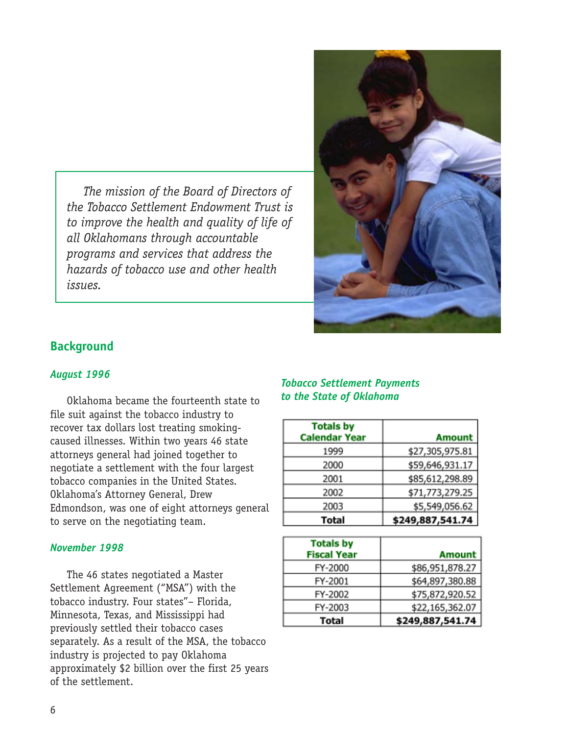*The mission of the Board of Directors of the Tobacco Settlement Endowment Trust is to improve the health and quality of life of all Oklahomans through accountable programs and services that address the hazards of tobacco use and other health issues.*



## **Background**

#### *August 1996*

Oklahoma became the fourteenth state to file suit against the tobacco industry to recover tax dollars lost treating smokingcaused illnesses. Within two years 46 state attorneys general had joined together to negotiate a settlement with the four largest tobacco companies in the United States. Oklahoma's Attorney General, Drew Edmondson, was one of eight attorneys general to serve on the negotiating team.

#### *November 1998*

The 46 states negotiated a Master Settlement Agreement ("MSA") with the tobacco industry. Four states"– Florida, Minnesota, Texas, and Mississippi had previously settled their tobacco cases separately. As a result of the MSA, the tobacco industry is projected to pay Oklahoma approximately \$2 billion over the first 25 years of the settlement.

#### *Tobacco Settlement Payments to the State of Oklahoma*

| <b>Totals by</b><br><b>Calendar Year</b> | <b>Amount</b>    |
|------------------------------------------|------------------|
| 1999                                     | \$27,305,975.81  |
| 2000                                     | \$59,646,931.17  |
| 2001                                     | \$85,612,298.89  |
| 2002                                     | \$71,773,279.25  |
| 2003                                     | \$5,549,056.62   |
| <b>Total</b>                             | \$249,887,541.74 |

| <b>Totals by</b><br><b>Fiscal Year</b> | <b>Amount</b>    |
|----------------------------------------|------------------|
| FY-2000                                | \$86,951,878.27  |
| FY-2001                                | \$64,897,380.88  |
| FY-2002                                | \$75,872,920.52  |
| FY-2003                                | \$22,165,362.07  |
| Total                                  | \$249,887,541.74 |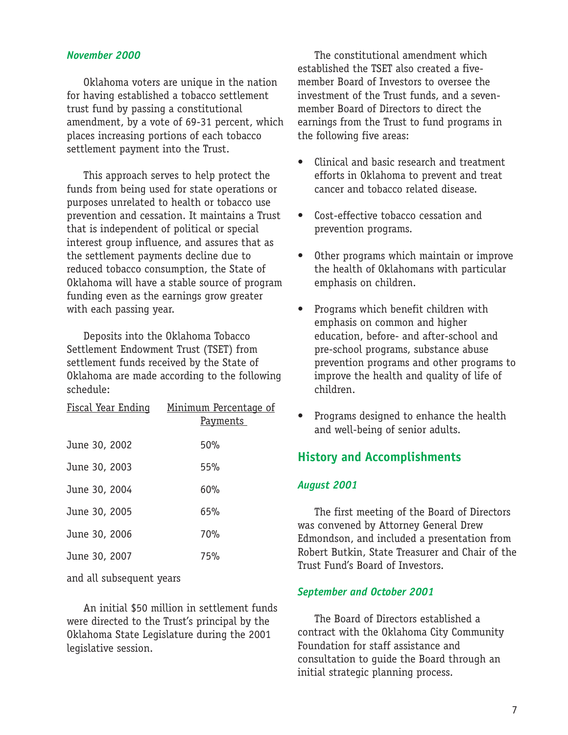#### *November 2000*

Oklahoma voters are unique in the nation for having established a tobacco settlement trust fund by passing a constitutional amendment, by a vote of 69-31 percent, which places increasing portions of each tobacco settlement payment into the Trust.

This approach serves to help protect the funds from being used for state operations or purposes unrelated to health or tobacco use prevention and cessation. It maintains a Trust that is independent of political or special interest group influence, and assures that as the settlement payments decline due to reduced tobacco consumption, the State of Oklahoma will have a stable source of program funding even as the earnings grow greater with each passing year.

Deposits into the Oklahoma Tobacco Settlement Endowment Trust (TSET) from settlement funds received by the State of Oklahoma are made according to the following schedule:

|               | Fiscal Year Ending Minimum Percentage of<br><u>Payments</u> |
|---------------|-------------------------------------------------------------|
| June 30, 2002 | 50%                                                         |
| June 30, 2003 | 55%                                                         |
| June 30, 2004 | 60%                                                         |
| June 30, 2005 | 65%                                                         |
| June 30, 2006 | 70%                                                         |
| June 30, 2007 | 75%                                                         |
|               |                                                             |

and all subsequent years

An initial \$50 million in settlement funds were directed to the Trust's principal by the Oklahoma State Legislature during the 2001 legislative session.

The constitutional amendment which established the TSET also created a fivemember Board of Investors to oversee the investment of the Trust funds, and a sevenmember Board of Directors to direct the earnings from the Trust to fund programs in the following five areas:

- Clinical and basic research and treatment efforts in Oklahoma to prevent and treat cancer and tobacco related disease.
- Cost-effective tobacco cessation and prevention programs.
- Other programs which maintain or improve the health of Oklahomans with particular emphasis on children.
- Programs which benefit children with emphasis on common and higher education, before- and after-school and pre-school programs, substance abuse prevention programs and other programs to improve the health and quality of life of children.
- Programs designed to enhance the health and well-being of senior adults.

### **History and Accomplishments**

#### *August 2001*

The first meeting of the Board of Directors was convened by Attorney General Drew Edmondson, and included a presentation from Robert Butkin, State Treasurer and Chair of the Trust Fund's Board of Investors.

#### *September and October 2001*

The Board of Directors established a contract with the Oklahoma City Community Foundation for staff assistance and consultation to guide the Board through an initial strategic planning process.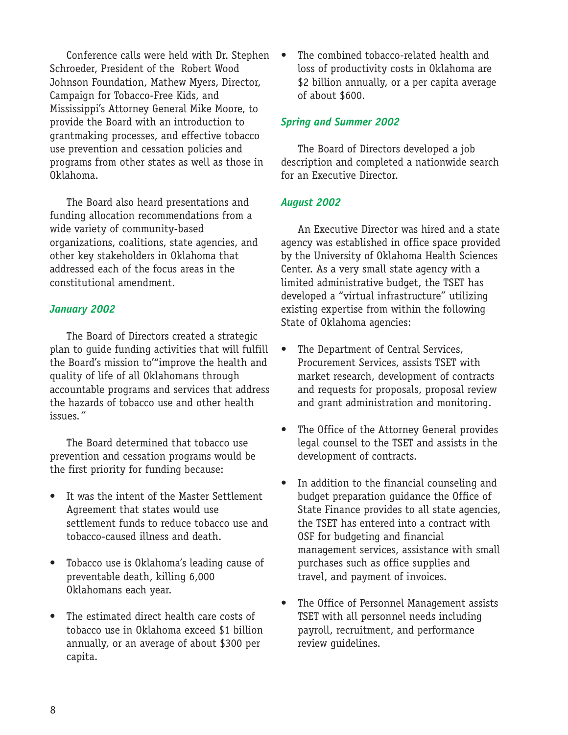Conference calls were held with Dr. Stephen Schroeder, President of the Robert Wood Johnson Foundation, Mathew Myers, Director, Campaign for Tobacco-Free Kids, and Mississippi's Attorney General Mike Moore, to provide the Board with an introduction to grantmaking processes, and effective tobacco use prevention and cessation policies and programs from other states as well as those in Oklahoma.

The Board also heard presentations and funding allocation recommendations from a wide variety of community-based organizations, coalitions, state agencies, and other key stakeholders in Oklahoma that addressed each of the focus areas in the constitutional amendment.

#### *January 2002*

The Board of Directors created a strategic plan to guide funding activities that will fulfill the Board's mission to'"improve the health and quality of life of all Oklahomans through accountable programs and services that address the hazards of tobacco use and other health issues*."*

The Board determined that tobacco use prevention and cessation programs would be the first priority for funding because:

- It was the intent of the Master Settlement Agreement that states would use settlement funds to reduce tobacco use and tobacco-caused illness and death.
- Tobacco use is Oklahoma's leading cause of preventable death, killing 6,000 Oklahomans each year.
- The estimated direct health care costs of tobacco use in Oklahoma exceed \$1 billion annually, or an average of about \$300 per capita.

The combined tobacco-related health and loss of productivity costs in Oklahoma are \$2 billion annually, or a per capita average of about \$600.

#### *Spring and Summer 2002*

The Board of Directors developed a job description and completed a nationwide search for an Executive Director.

#### *August 2002*

An Executive Director was hired and a state agency was established in office space provided by the University of Oklahoma Health Sciences Center. As a very small state agency with a limited administrative budget, the TSET has developed a "virtual infrastructure" utilizing existing expertise from within the following State of Oklahoma agencies:

- The Department of Central Services, Procurement Services, assists TSET with market research, development of contracts and requests for proposals, proposal review and grant administration and monitoring.
- The Office of the Attorney General provides legal counsel to the TSET and assists in the development of contracts.
- In addition to the financial counseling and budget preparation guidance the Office of State Finance provides to all state agencies, the TSET has entered into a contract with OSF for budgeting and financial management services, assistance with small purchases such as office supplies and travel, and payment of invoices.
- The Office of Personnel Management assists TSET with all personnel needs including payroll, recruitment, and performance review guidelines.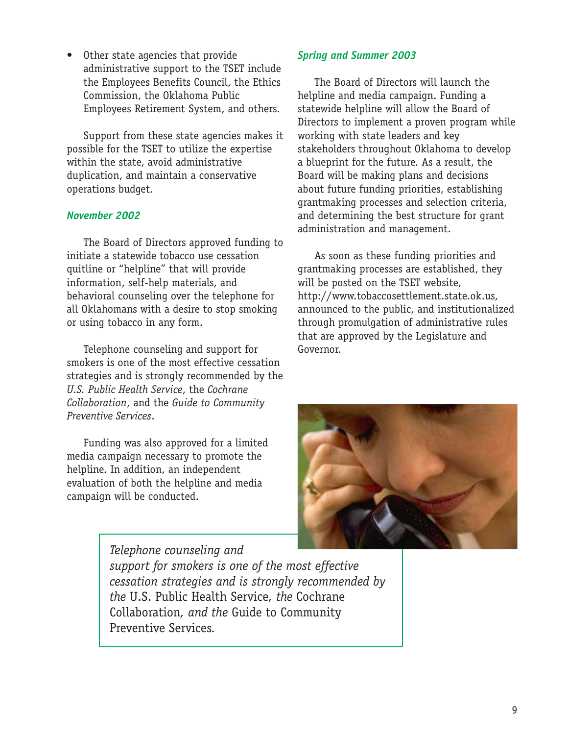• Other state agencies that provide administrative support to the TSET include the Employees Benefits Council, the Ethics Commission, the Oklahoma Public Employees Retirement System, and others.

Support from these state agencies makes it possible for the TSET to utilize the expertise within the state, avoid administrative duplication, and maintain a conservative operations budget.

#### *November 2002*

The Board of Directors approved funding to initiate a statewide tobacco use cessation quitline or "helpline" that will provide information, self-help materials, and behavioral counseling over the telephone for all Oklahomans with a desire to stop smoking or using tobacco in any form.

Telephone counseling and support for smokers is one of the most effective cessation strategies and is strongly recommended by the *U.S. Public Health Service*, the *Cochrane Collaboration*, and the *Guide to Community Preventive Services*.

Funding was also approved for a limited media campaign necessary to promote the helpline. In addition, an independent evaluation of both the helpline and media campaign will be conducted.

### *Spring and Summer 2003*

The Board of Directors will launch the helpline and media campaign. Funding a statewide helpline will allow the Board of Directors to implement a proven program while working with state leaders and key stakeholders throughout Oklahoma to develop a blueprint for the future. As a result, the Board will be making plans and decisions about future funding priorities, establishing grantmaking processes and selection criteria, and determining the best structure for grant administration and management.

As soon as these funding priorities and grantmaking processes are established, they will be posted on the TSET website, http://www.tobaccosettlement.state.ok.us, announced to the public, and institutionalized through promulgation of administrative rules that are approved by the Legislature and Governor.



*Telephone counseling and support for smokers is one of the most effective cessation strategies and is strongly recommended by the* U.S. Public Health Service*, the* Cochrane Collaboration*, and the* Guide to Community Preventive Services*.*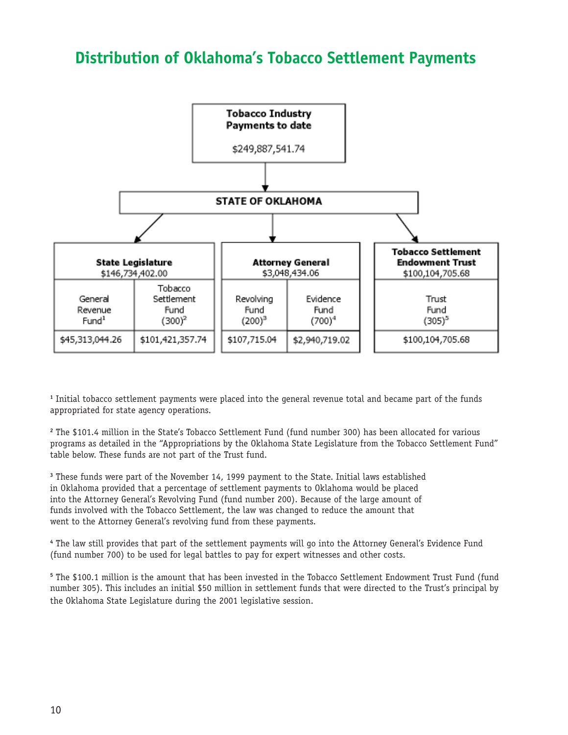# **Distribution of Oklahoma's Tobacco Settlement Payments**



**1** Initial tobacco settlement payments were placed into the general revenue total and became part of the funds appropriated for state agency operations.

**2** The \$101.4 million in the State's Tobacco Settlement Fund (fund number 300) has been allocated for various programs as detailed in the "Appropriations by the Oklahoma State Legislature from the Tobacco Settlement Fund" table below. These funds are not part of the Trust fund.

**3** These funds were part of the November 14, 1999 payment to the State. Initial laws established in Oklahoma provided that a percentage of settlement payments to Oklahoma would be placed into the Attorney General's Revolving Fund (fund number 200). Because of the large amount of funds involved with the Tobacco Settlement, the law was changed to reduce the amount that went to the Attorney General's revolving fund from these payments.

**4** The law still provides that part of the settlement payments will go into the Attorney General's Evidence Fund (fund number 700) to be used for legal battles to pay for expert witnesses and other costs.

**5** The \$100.1 million is the amount that has been invested in the Tobacco Settlement Endowment Trust Fund (fund number 305). This includes an initial \$50 million in settlement funds that were directed to the Trust's principal by the Oklahoma State Legislature during the 2001 legislative session.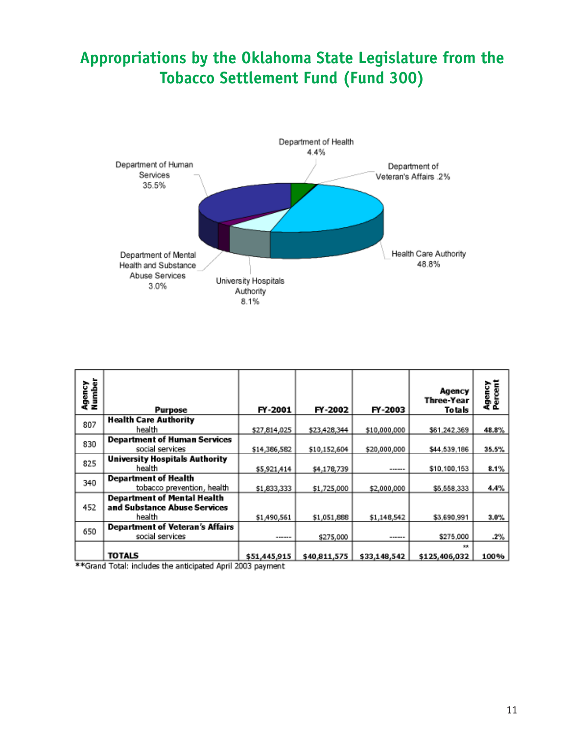# **Appropriations by the Oklahoma State Legislature from the Tobacco Settlement Fund (Fund 300)**



| Agency<br>Number | <b>Purpose</b>                                                               | FY-2001      | FY-2002      | FY-2003      | Agency<br>Three-Year<br>Totals | Agency<br>Percent |
|------------------|------------------------------------------------------------------------------|--------------|--------------|--------------|--------------------------------|-------------------|
| 807              | <b>Health Care Authority</b>                                                 |              |              |              |                                |                   |
|                  | health                                                                       | \$27,814,025 | \$23,428,344 | \$10,000,000 | \$61.242.369                   | 48.8%             |
| 830              | <b>Department of Human Services</b><br>social services                       | \$14,386,582 | \$10,152,604 | \$20,000,000 | \$44,539,186                   | 35.5%             |
| 825              | <b>University Hospitals Authority</b><br>health                              | \$5,921,414  | \$4,178,739  |              | \$10,100,153                   | $8.1\%$           |
| 340              | <b>Department of Health</b><br>tobacco prevention, health                    | \$1,833,333  | \$1,725,000  | \$2,000,000  | \$5,558,333                    | 4.4%              |
| 452              | <b>Department of Mental Health</b><br>and Substance Abuse Services<br>health | \$1,490,561  | \$1,051,888  | \$1,148,542  | \$3,690,991                    | $3.0\%$           |
| 650              | <b>Department of Veteran's Affairs</b><br>social services                    |              | \$275,000    |              | \$275,000                      | .2%               |
|                  | <b>TOTALS</b>                                                                | \$51,445,915 | \$40,811,575 | \$33,148,542 | **<br>\$125,406,032            | 100%              |

\*\*Grand Total: includes the anticipated April 2003 payment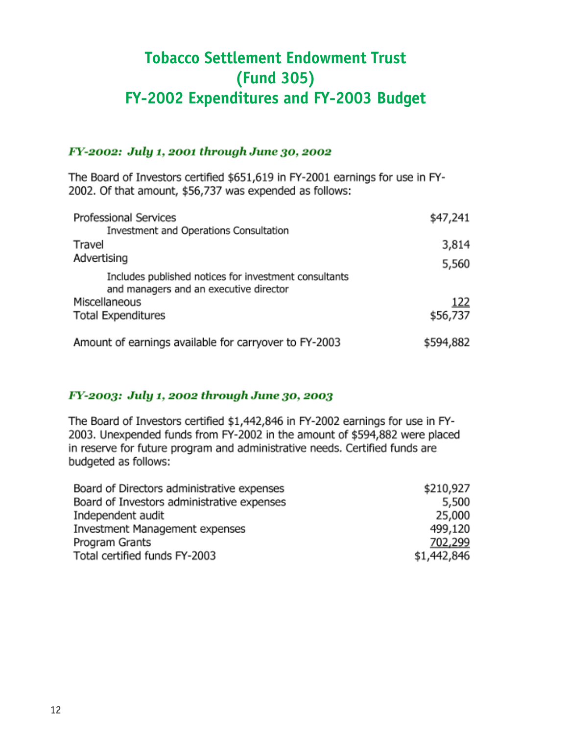# **Tobacco Settlement Endowment Trust (Fund 305) FY-2002 Expenditures and FY-2003 Budget**

### FY-2002: July 1, 2001 through June 30, 2002

The Board of Investors certified \$651,619 in FY-2001 earnings for use in FY-2002. Of that amount, \$56,737 was expended as follows:

| Professional Services                                 | \$47,241  |
|-------------------------------------------------------|-----------|
| Investment and Operations Consultation                |           |
| Travel                                                | 3,814     |
| Advertising                                           | 5,560     |
| Includes published notices for investment consultants |           |
| and managers and an executive director                |           |
| Miscellaneous                                         | 122       |
| <b>Total Expenditures</b>                             | \$56,737  |
| Amount of earnings available for carryover to FY-2003 | \$594,882 |

### FY-2003: July 1, 2002 through June 30, 2003

The Board of Investors certified \$1,442,846 in FY-2002 earnings for use in FY-2003. Unexpended funds from FY-2002 in the amount of \$594,882 were placed in reserve for future program and administrative needs. Certified funds are budgeted as follows:

| Board of Directors administrative expenses | \$210,927   |
|--------------------------------------------|-------------|
| Board of Investors administrative expenses | 5,500       |
| Independent audit                          | 25,000      |
| Investment Management expenses             | 499,120     |
| Program Grants                             | 702,299     |
| Total certified funds FY-2003              | \$1,442,846 |